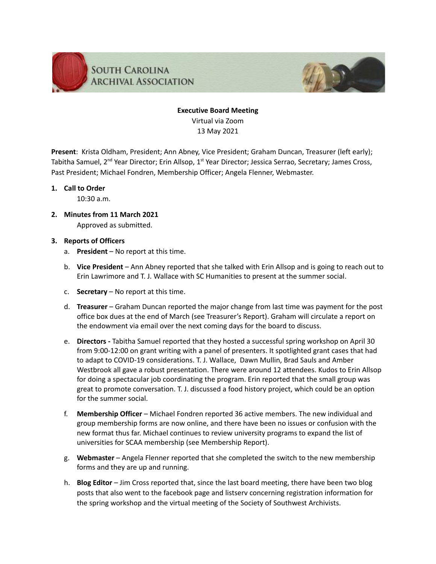

# **Executive Board Meeting** Virtual via Zoom 13 May 2021

**Present**: Krista Oldham, President; Ann Abney, Vice President; Graham Duncan, Treasurer (left early); Tabitha Samuel, 2<sup>nd</sup> Year Director; Erin Allsop, 1<sup>st</sup> Year Director; Jessica Serrao, Secretary; James Cross, Past President; Michael Fondren, Membership Officer; Angela Flenner, Webmaster.

## **1. Call to Order**

10:30 a.m.

- **2. Minutes from 11 March 2021** Approved as submitted.
- **3. Reports of Officers**
	- a. **President** No report at this time.
	- b. **Vice President** Ann Abney reported that she talked with Erin Allsop and is going to reach out to Erin Lawrimore and T. J. Wallace with SC Humanities to present at the summer social.
	- c. **Secretary** No report at this time.
	- d. **Treasurer** Graham Duncan reported the major change from last time was payment for the post office box dues at the end of March (see Treasurer's Report). Graham will circulate a report on the endowment via email over the next coming days for the board to discuss.
	- e. **Directors -** Tabitha Samuel reported that they hosted a successful spring workshop on April 30 from 9:00-12:00 on grant writing with a panel of presenters. It spotlighted grant cases that had to adapt to COVID-19 considerations. T. J. Wallace, Dawn Mullin, Brad Sauls and Amber Westbrook all gave a robust presentation. There were around 12 attendees. Kudos to Erin Allsop for doing a spectacular job coordinating the program. Erin reported that the small group was great to promote conversation. T. J. discussed a food history project, which could be an option for the summer social.
	- f. **Membership Officer** Michael Fondren reported 36 active members. The new individual and group membership forms are now online, and there have been no issues or confusion with the new format thus far. Michael continues to review university programs to expand the list of universities for SCAA membership (see Membership Report).
	- g. **Webmaster** Angela Flenner reported that she completed the switch to the new membership forms and they are up and running.
	- h. **Blog Editor** Jim Cross reported that, since the last board meeting, there have been two blog posts that also went to the facebook page and listserv concerning registration information for the spring workshop and the virtual meeting of the Society of Southwest Archivists.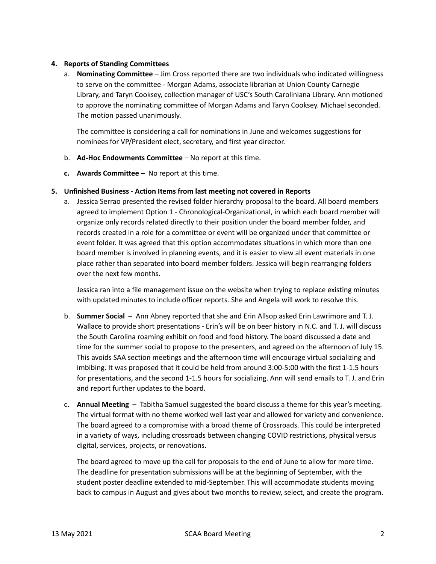## **4. Reports of Standing Committees**

a. **Nominating Committee** – Jim Cross reported there are two individuals who indicated willingness to serve on the committee - Morgan Adams, associate librarian at Union County Carnegie Library, and Taryn Cooksey, collection manager of USC's South Caroliniana Library. Ann motioned to approve the nominating committee of Morgan Adams and Taryn Cooksey. Michael seconded. The motion passed unanimously.

The committee is considering a call for nominations in June and welcomes suggestions for nominees for VP/President elect, secretary, and first year director.

- b. **Ad-Hoc Endowments Committee** No report at this time.
- **c. Awards Committee** No report at this time.

#### **5. Unfinished Business - Action Items from last meeting not covered in Reports**

a. Jessica Serrao presented the revised folder hierarchy proposal to the board. All board members agreed to implement Option 1 - Chronological-Organizational, in which each board member will organize only records related directly to their position under the board member folder, and records created in a role for a committee or event will be organized under that committee or event folder. It was agreed that this option accommodates situations in which more than one board member is involved in planning events, and it is easier to view all event materials in one place rather than separated into board member folders. Jessica will begin rearranging folders over the next few months.

Jessica ran into a file management issue on the website when trying to replace existing minutes with updated minutes to include officer reports. She and Angela will work to resolve this.

- b. **Summer Social** Ann Abney reported that she and Erin Allsop asked Erin Lawrimore and T. J. Wallace to provide short presentations - Erin's will be on beer history in N.C. and T. J. will discuss the South Carolina roaming exhibit on food and food history. The board discussed a date and time for the summer social to propose to the presenters, and agreed on the afternoon of July 15. This avoids SAA section meetings and the afternoon time will encourage virtual socializing and imbibing. It was proposed that it could be held from around 3:00-5:00 with the first 1-1.5 hours for presentations, and the second 1-1.5 hours for socializing. Ann will send emails to T. J. and Erin and report further updates to the board.
- c. **Annual Meeting** Tabitha Samuel suggested the board discuss a theme for this year's meeting. The virtual format with no theme worked well last year and allowed for variety and convenience. The board agreed to a compromise with a broad theme of Crossroads. This could be interpreted in a variety of ways, including crossroads between changing COVID restrictions, physical versus digital, services, projects, or renovations.

The board agreed to move up the call for proposals to the end of June to allow for more time. The deadline for presentation submissions will be at the beginning of September, with the student poster deadline extended to mid-September. This will accommodate students moving back to campus in August and gives about two months to review, select, and create the program.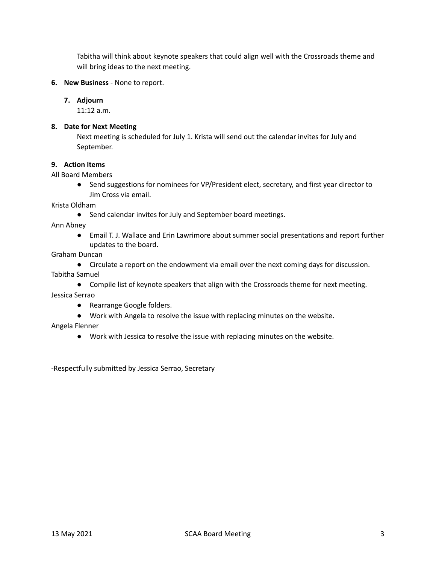Tabitha will think about keynote speakers that could align well with the Crossroads theme and will bring ideas to the next meeting.

## **6. New Business** - None to report.

#### **7. Adjourn**

11:12 a.m.

#### **8. Date for Next Meeting**

Next meeting is scheduled for July 1. Krista will send out the calendar invites for July and September.

## **9. Action Items**

#### All Board Members

● Send suggestions for nominees for VP/President elect, secretary, and first year director to Jim Cross via email.

Krista Oldham

● Send calendar invites for July and September board meetings.

Ann Abney

● Email T. J. Wallace and Erin Lawrimore about summer social presentations and report further updates to the board.

## Graham Duncan

- Circulate a report on the endowment via email over the next coming days for discussion. Tabitha Samuel
	- Compile list of keynote speakers that align with the Crossroads theme for next meeting.

Jessica Serrao

- Rearrange Google folders.
- Work with Angela to resolve the issue with replacing minutes on the website.

#### Angela Flenner

● Work with Jessica to resolve the issue with replacing minutes on the website.

-Respectfully submitted by Jessica Serrao, Secretary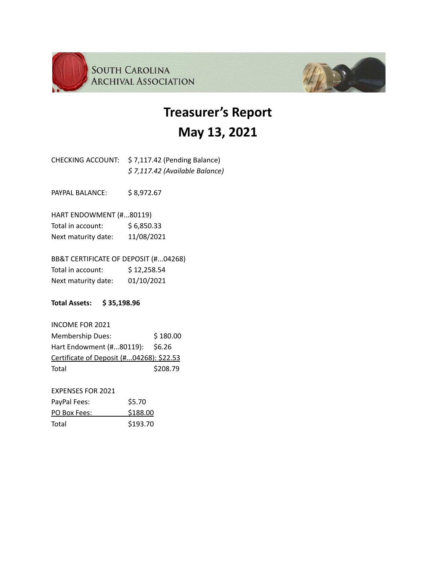



# **May 13, 2021**

CHECKING ACCOUNT: \$ 7,117.42 (Pending Balance) *\$ 7,117.42 (Available Balance)*

PAYPAL BALANCE: \$8,972.67

HART ENDOWMENT (#...80119) Total in account: \$6,850.33 Next maturity date: 11/08/2021

BB&T CERTIFICATE OF DEPOSIT (#...04268) Total in account: \$12,258.54 Next maturity date: 01/10/2021

**Total Assets: \$ 35,198.96**

INCOME FOR 2021 Membership Dues: \$180.00 Hart Endowment (#...80119): \$6.26 Certificate of Deposit (#...04268): \$22.53 Total \$208.79

EXPENSES FOR 2021 PayPal Fees: \$5.70 PO Box Fees: \$188.00 Total \$193.70